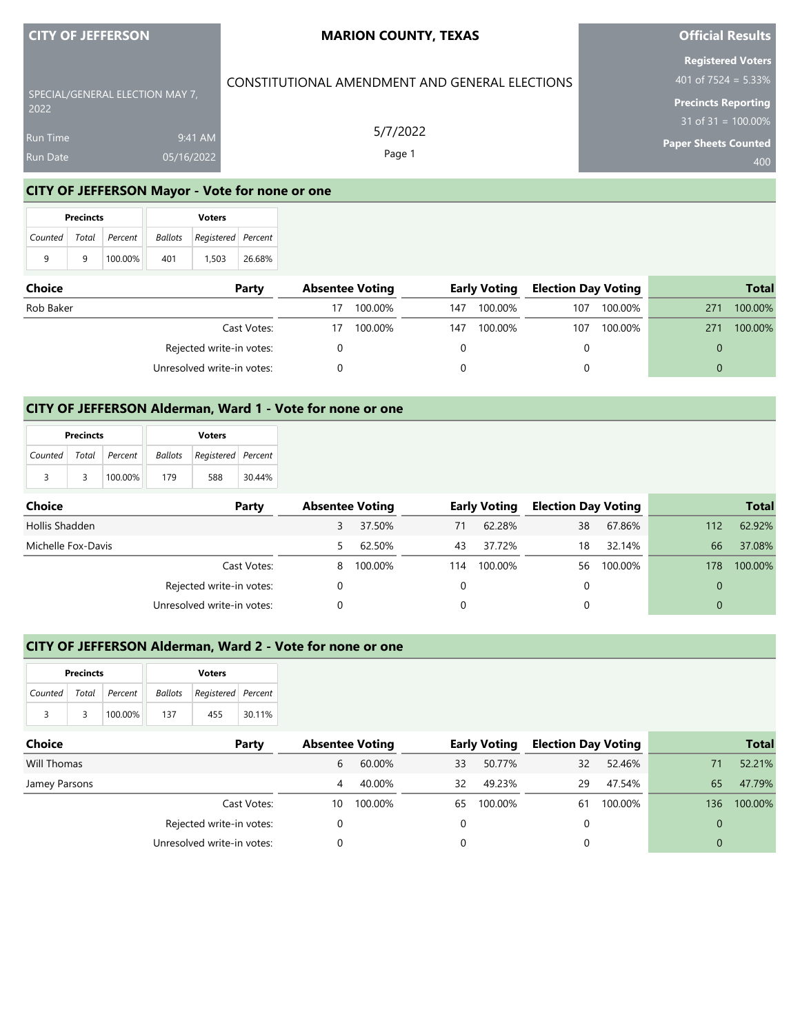| <b>CITY OF JEFFERSON</b> |  |  |  |  |
|--------------------------|--|--|--|--|
|                          |  |  |  |  |

2022

Run Time

SPECIAL/GENERAL ELECTION MAY 7,

## **MARION COUNTY, TEXAS**

CONSTITUTIONAL AMENDMENT AND GENERAL ELECTIONS

5/7/2022 Page 1

## **Official Results**

**Registered Voters** 401 of 7524 = 5.33%

**Precincts Reporting**

 $31$  of 31 =  $100.00\%$ 

**Paper Sheets Counted**

400

## **CITY OF JEFFERSON Mayor - Vote for none or one**

9:41 AM 05/16/2022

|                       | <b>Precincts</b> |         | <b>Voters</b> |                                   |        |  |  |
|-----------------------|------------------|---------|---------------|-----------------------------------|--------|--|--|
| Counted Total Percent |                  |         |               | <b>Ballots</b> Registered Percent |        |  |  |
| 9                     | q                | 100.00% | 401           | 1.503                             | 26.68% |  |  |

| <b>Choice</b> | Party                      |    | <b>Absentee Voting</b> |     | <b>Early Voting</b> | <b>Election Day Voting</b> |         |     | <b>Total</b> |
|---------------|----------------------------|----|------------------------|-----|---------------------|----------------------------|---------|-----|--------------|
| Rob Baker     |                            | 17 | 100.00%                | 147 | 100.00%             | 107                        | 100.00% | 271 | 100.00%      |
|               | Cast Votes:                | 17 | 100.00%                | 147 | 100.00%             | 107                        | 100.00% | 271 | 100.00%      |
|               | Rejected write-in votes:   |    |                        |     |                     |                            |         |     |              |
|               | Unresolved write-in votes: |    |                        |     |                     |                            |         |     |              |

### **CITY OF JEFFERSON Alderman, Ward 1 - Vote for none or one**

|   | <b>Precincts</b> |                       | <b>Voters</b> |                                   |        |  |  |
|---|------------------|-----------------------|---------------|-----------------------------------|--------|--|--|
|   |                  | Counted Total Percent |               | <b>Ballots</b> Registered Percent |        |  |  |
| 3 | 3                | 100.00%               | 179           | 588                               | 30.44% |  |  |

| Choice             | Party                      |   | <b>Absentee Voting</b> |     | <b>Early Voting</b> |    | <b>Election Day Voting</b> |     | <b>Total</b> |
|--------------------|----------------------------|---|------------------------|-----|---------------------|----|----------------------------|-----|--------------|
| Hollis Shadden     |                            |   | 37.50%                 | 71  | 62.28%              | 38 | 67.86%                     | 112 | 62.92%       |
| Michelle Fox-Davis |                            |   | 62.50%                 | 43  | 37.72%              | 18 | 32.14%                     | 66  | 37.08%       |
|                    | Cast Votes:                | 8 | 100.00%                | 114 | 100.00%             | 56 | 100.00%                    | 178 | 100.00%      |
|                    | Rejected write-in votes:   |   |                        |     |                     |    |                            |     |              |
|                    | Unresolved write-in votes: |   |                        |     |                     |    |                            |     |              |

## **CITY OF JEFFERSON Alderman, Ward 2 - Vote for none or one**

|                       | <b>Precincts</b> |         | <b>Voters</b> |                                |        |  |  |  |
|-----------------------|------------------|---------|---------------|--------------------------------|--------|--|--|--|
| Counted Total Percent |                  |         |               | Ballots   Registered   Percent |        |  |  |  |
| 3                     | -2               | 100.00% | 137           | 455                            | 30.11% |  |  |  |

| <b>Choice</b> | Party                      |    | <b>Absentee Voting</b> |    | <b>Early Voting</b> | <b>Election Day Voting</b> |         |     | <b>Total</b> |
|---------------|----------------------------|----|------------------------|----|---------------------|----------------------------|---------|-----|--------------|
| Will Thomas   |                            | 6  | 60.00%                 | 33 | 50.77%              | 32                         | 52.46%  |     | 52.21%       |
| Jamey Parsons |                            | 4  | 40.00%                 | 32 | 49.23%              | 29                         | 47.54%  | 65  | 47.79%       |
|               | Cast Votes:                | 10 | 100.00%                | 65 | 100.00%             | 61                         | 100.00% | 136 | 100.00%      |
|               | Rejected write-in votes:   |    |                        |    |                     |                            |         |     |              |
|               | Unresolved write-in votes: |    |                        |    |                     |                            |         | 0   |              |